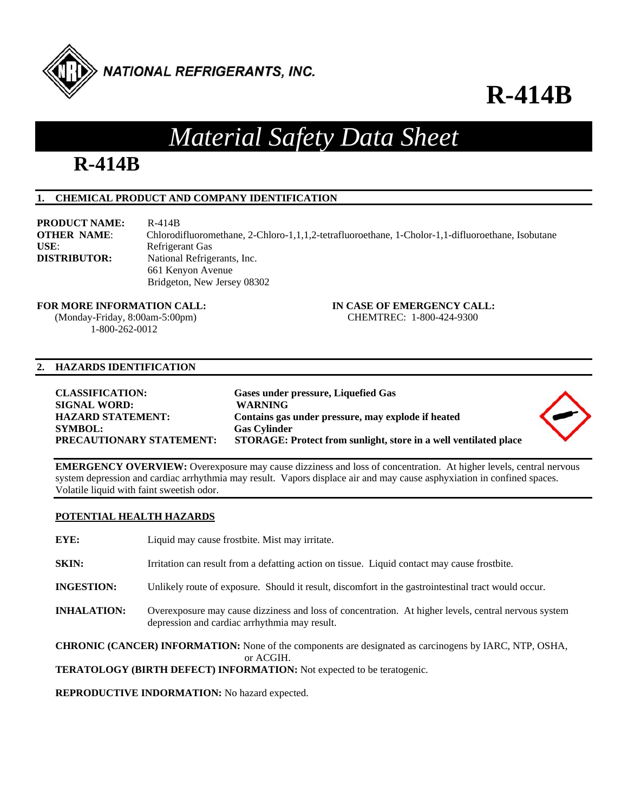

## **R-414B**

## *Material Safety Data Sheet*

## **R-414B**

### **1. CHEMICAL PRODUCT AND COMPANY IDENTIFICATION**

**PRODUCT NAME:** R-414B **OTHER NAME**: Chlorodifluoromethane, 2-Chloro-1,1,1,2-tetrafluoroethane, 1-Cholor-1,1-difluoroethane, Isobutane USE: Refrigerant Gas **DISTRIBUTOR:** National Refrigerants, Inc. 661 Kenyon Avenue Bridgeton, New Jersey 08302

#### **FOR MORE INFORMATION CALL: IN CASE OF EMERGENCY CALL:**

 (Monday-Friday, 8:00am-5:00pm) CHEMTREC: 1-800-424-9300 1-800-262-0012

#### **2. HAZARDS IDENTIFICATION**

| <b>CLASSIFICATION:</b><br><b>SIGNAL WORD:</b><br><b>HAZARD STATEMENT:</b><br><b>SYMBOL:</b> | Gases under pressure, Liquefied Gas<br><b>WARNING</b><br>Contains gas under pressure, may explode if heated<br><b>Gas Cylinder</b> |  |
|---------------------------------------------------------------------------------------------|------------------------------------------------------------------------------------------------------------------------------------|--|
| <b>PRECAUTIONARY STATEMENT:</b>                                                             | STORAGE: Protect from sunlight, store in a well ventilated place                                                                   |  |

**EMERGENCY OVERVIEW:** Overexposure may cause dizziness and loss of concentration. At higher levels, central nervous system depression and cardiac arrhythmia may result. Vapors displace air and may cause asphyxiation in confined spaces. Volatile liquid with faint sweetish odor.

### **POTENTIAL HEALTH HAZARDS**

| EYE:                                                                                                                       | Liquid may cause frostbite. Mist may irritate.                                                                                                        |
|----------------------------------------------------------------------------------------------------------------------------|-------------------------------------------------------------------------------------------------------------------------------------------------------|
| SKIN:                                                                                                                      | Irritation can result from a defatting action on tissue. Liquid contact may cause frostbite.                                                          |
| <b>INGESTION:</b>                                                                                                          | Unlikely route of exposure. Should it result, discomfort in the gastrointestinal tract would occur.                                                   |
| <b>INHALATION:</b>                                                                                                         | Overexposure may cause dizziness and loss of concentration. At higher levels, central nervous system<br>depression and cardiac arrhythmia may result. |
| <b>CHRONIC (CANCER) INFORMATION:</b> None of the components are designated as carcinogens by IARC, NTP, OSHA,<br>or ACGIH. |                                                                                                                                                       |

**TERATOLOGY (BIRTH DEFECT) INFORMATION:** Not expected to be teratogenic.

**REPRODUCTIVE INDORMATION:** No hazard expected.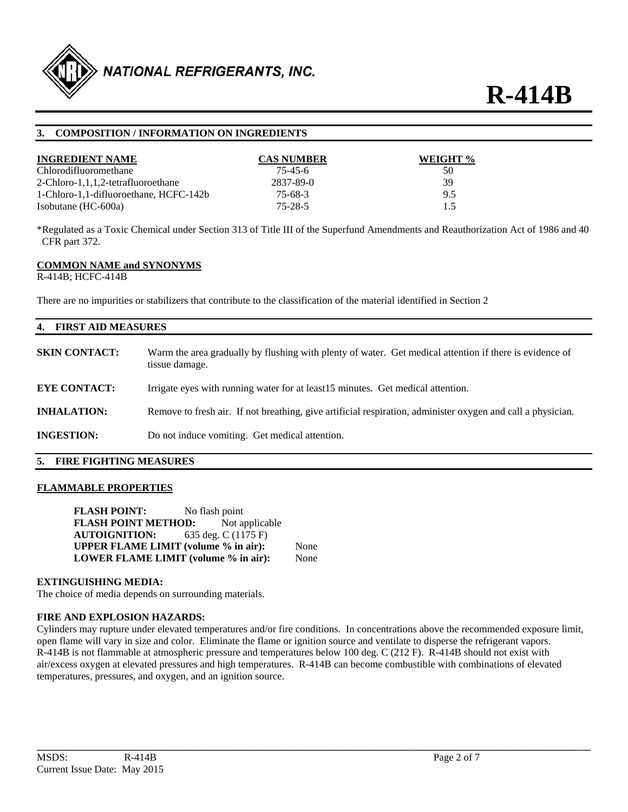

#### **3. COMPOSITION / INFORMATION ON INGREDIENTS**

| <b>INGREDIENT NAME</b>                 | <b>CAS NUMBER</b> | WEIGHT % |
|----------------------------------------|-------------------|----------|
| Chlorodifluoromethane                  | $75 - 45 - 6$     | 50       |
| 2-Chloro-1,1,1,2-tetrafluoroethane     | 2837-89-0         | 39       |
| 1-Chloro-1,1-difluoroethane, HCFC-142b | $75-68-3$         | 9.5      |
| Isobutane $(HC-600a)$                  | 75-28-5           | 1.5      |

\*Regulated as a Toxic Chemical under Section 313 of Title III of the Superfund Amendments and Reauthorization Act of 1986 and 40 CFR part 372.

#### **COMMON NAME and SYNONYMS**

R-414B; HCFC-414B

There are no impurities or stabilizers that contribute to the classification of the material identified in Section 2

| 4. FIRST AID MEASURES |                                                                                                                           |  |
|-----------------------|---------------------------------------------------------------------------------------------------------------------------|--|
| <b>SKIN CONTACT:</b>  | Warm the area gradually by flushing with plenty of water. Get medical attention if there is evidence of<br>tissue damage. |  |
| <b>EYE CONTACT:</b>   | Irrigate eyes with running water for at least15 minutes. Get medical attention.                                           |  |
| <b>INHALATION:</b>    | Remove to fresh air. If not breathing, give artificial respiration, administer oxygen and call a physician.               |  |
| <b>INGESTION:</b>     | Do not induce vomiting. Get medical attention.                                                                            |  |
|                       |                                                                                                                           |  |

#### **5. FIRE FIGHTING MEASURES**

#### **FLAMMABLE PROPERTIES**

**FLASH POINT:** No flash point **FLASH POINT METHOD:** Not applicable **AUTOIGNITION:** 635 deg. C (1175 F) **UPPER FLAME LIMIT (volume % in air):** None **LOWER FLAME LIMIT (volume % in air):** None

#### **EXTINGUISHING MEDIA:**

The choice of media depends on surrounding materials.

#### **FIRE AND EXPLOSION HAZARDS:**

Cylinders may rupture under elevated temperatures and/or fire conditions. In concentrations above the recommended exposure limit, open flame will vary in size and color. Eliminate the flame or ignition source and ventilate to disperse the refrigerant vapors. R-414B is not flammable at atmospheric pressure and temperatures below 100 deg. C (212 F). R-414B should not exist with air/excess oxygen at elevated pressures and high temperatures. R-414B can become combustible with combinations of elevated temperatures, pressures, and oxygen, and an ignition source.

**\_\_\_\_\_\_\_\_\_\_\_\_\_\_\_\_\_\_\_\_\_\_\_\_\_\_\_\_\_\_\_\_\_\_\_\_\_\_\_\_\_\_\_\_\_\_\_\_\_\_\_\_\_\_\_\_\_\_\_\_\_\_\_\_\_\_\_\_\_\_\_\_\_\_\_\_\_\_\_\_\_\_\_\_\_\_\_\_\_\_\_\_\_\_\_\_\_\_\_\_\_\_\_\_\_\_\_\_**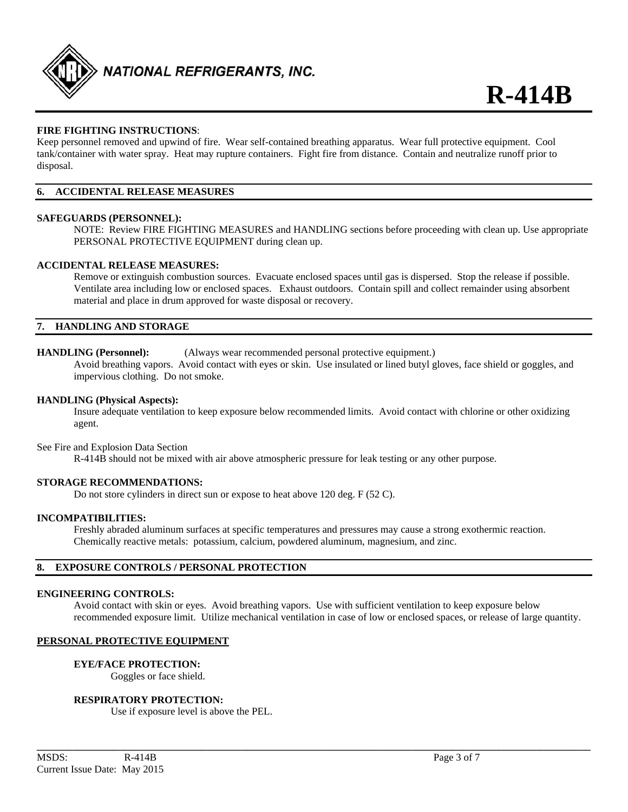

#### **FIRE FIGHTING INSTRUCTIONS**:

Keep personnel removed and upwind of fire. Wear self-contained breathing apparatus. Wear full protective equipment. Cool tank/container with water spray. Heat may rupture containers. Fight fire from distance. Contain and neutralize runoff prior to disposal.

#### **6. ACCIDENTAL RELEASE MEASURES**

#### **SAFEGUARDS (PERSONNEL):**

NOTE: Review FIRE FIGHTING MEASURES and HANDLING sections before proceeding with clean up. Use appropriate PERSONAL PROTECTIVE EQUIPMENT during clean up.

#### **ACCIDENTAL RELEASE MEASURES:**

Remove or extinguish combustion sources. Evacuate enclosed spaces until gas is dispersed. Stop the release if possible. Ventilate area including low or enclosed spaces. Exhaust outdoors. Contain spill and collect remainder using absorbent material and place in drum approved for waste disposal or recovery.

#### **7. HANDLING AND STORAGE**

#### **HANDLING (Personnel):** (Always wear recommended personal protective equipment.)

Avoid breathing vapors. Avoid contact with eyes or skin. Use insulated or lined butyl gloves, face shield or goggles, and impervious clothing. Do not smoke.

#### **HANDLING (Physical Aspects):**

Insure adequate ventilation to keep exposure below recommended limits. Avoid contact with chlorine or other oxidizing agent.

#### See Fire and Explosion Data Section

R-414B should not be mixed with air above atmospheric pressure for leak testing or any other purpose.

#### **STORAGE RECOMMENDATIONS:**

Do not store cylinders in direct sun or expose to heat above 120 deg. F (52 C).

#### **INCOMPATIBILITIES:**

Freshly abraded aluminum surfaces at specific temperatures and pressures may cause a strong exothermic reaction. Chemically reactive metals: potassium, calcium, powdered aluminum, magnesium, and zinc.

#### **8. EXPOSURE CONTROLS / PERSONAL PROTECTION**

#### **ENGINEERING CONTROLS:**

Avoid contact with skin or eyes. Avoid breathing vapors. Use with sufficient ventilation to keep exposure below recommended exposure limit. Utilize mechanical ventilation in case of low or enclosed spaces, or release of large quantity.

**\_\_\_\_\_\_\_\_\_\_\_\_\_\_\_\_\_\_\_\_\_\_\_\_\_\_\_\_\_\_\_\_\_\_\_\_\_\_\_\_\_\_\_\_\_\_\_\_\_\_\_\_\_\_\_\_\_\_\_\_\_\_\_\_\_\_\_\_\_\_\_\_\_\_\_\_\_\_\_\_\_\_\_\_\_\_\_\_\_\_\_\_\_\_\_\_\_\_\_\_\_\_\_\_\_\_\_\_** 

#### **PERSONAL PROTECTIVE EQUIPMENT**

#### **EYE/FACE PROTECTION:**

Goggles or face shield.

#### **RESPIRATORY PROTECTION:**

Use if exposure level is above the PEL.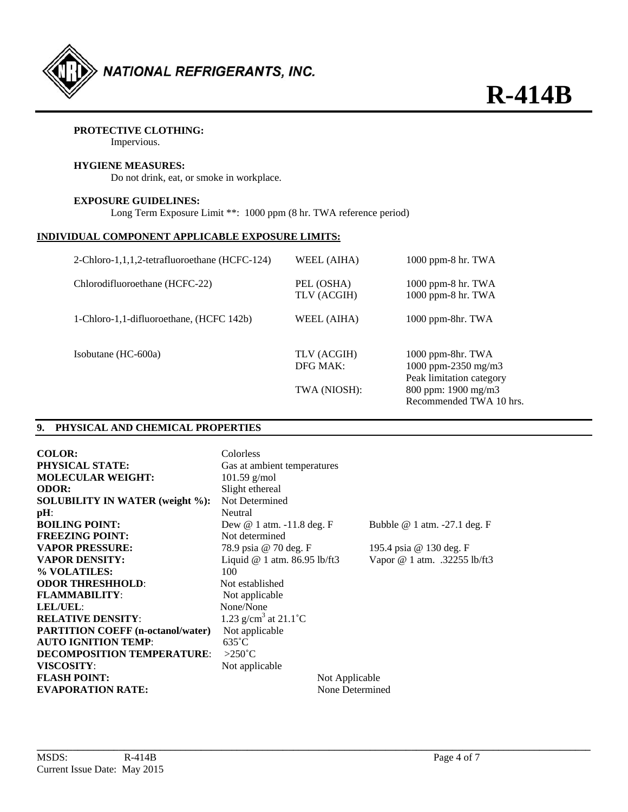

### **PROTECTIVE CLOTHING:**

Impervious.

#### **HYGIENE MEASURES:**

Do not drink, eat, or smoke in workplace.

#### **EXPOSURE GUIDELINES:**

Long Term Exposure Limit \*\*: 1000 ppm (8 hr. TWA reference period)

#### **INDIVIDUAL COMPONENT APPLICABLE EXPOSURE LIMITS:**

| 2-Chloro-1,1,1,2-tetrafluoroethane (HCFC-124) | WEEL (AIHA)               | $1000$ ppm-8 hr. TWA                                                 |
|-----------------------------------------------|---------------------------|----------------------------------------------------------------------|
| Chlorodifluoroethane (HCFC-22)                | PEL (OSHA)<br>TLV (ACGIH) | 1000 ppm-8 hr. TWA<br>1000 ppm-8 hr. TWA                             |
| 1-Chloro-1,1-difluoroethane, (HCFC 142b)      | WEEL (AIHA)               | 1000 ppm-8hr. TWA                                                    |
| Isobutane (HC-600a)                           | TLV (ACGIH)<br>DFG MAK:   | 1000 ppm-8hr. TWA<br>1000 ppm-2350 mg/m3<br>Peak limitation category |
|                                               | TWA (NIOSH):              | 800 ppm: 1900 mg/m3<br>Recommended TWA 10 hrs.                       |

#### **9. PHYSICAL AND CHEMICAL PROPERTIES**

| <b>COLOR:</b><br><b>PHYSICAL STATE:</b><br><b>MOLECULAR WEIGHT:</b><br><b>ODOR:</b> | Colorless<br>Gas at ambient temperatures<br>$101.59$ g/mol<br>Slight ethereal |                 |                                 |
|-------------------------------------------------------------------------------------|-------------------------------------------------------------------------------|-----------------|---------------------------------|
| <b>SOLUBILITY IN WATER (weight %):</b>                                              | Not Determined                                                                |                 |                                 |
| $pH$ :                                                                              | Neutral                                                                       |                 |                                 |
| <b>BOILING POINT:</b>                                                               | Dew $@1$ atm. $-11.8$ deg. F                                                  |                 | Bubble $@1$ atm. $-27.1$ deg. F |
| <b>FREEZING POINT:</b>                                                              | Not determined                                                                |                 |                                 |
| <b>VAPOR PRESSURE:</b>                                                              | 78.9 psia @ 70 deg. F                                                         |                 | 195.4 psia @ 130 deg. F         |
| <b>VAPOR DENSITY:</b>                                                               | Liquid @ 1 atm. 86.95 lb/ft3                                                  |                 | Vapor @ 1 atm. .32255 lb/ft3    |
| % VOLATILES:                                                                        | 100                                                                           |                 |                                 |
| <b>ODOR THRESHHOLD:</b>                                                             | Not established                                                               |                 |                                 |
| <b>FLAMMABILITY:</b>                                                                | Not applicable                                                                |                 |                                 |
| <b>LEL/UEL:</b>                                                                     | None/None                                                                     |                 |                                 |
| <b>RELATIVE DENSITY:</b>                                                            | 1.23 g/cm <sup>3</sup> at $21.1^{\circ}$ C                                    |                 |                                 |
| <b>PARTITION COEFF (n-octanol/water)</b>                                            | Not applicable                                                                |                 |                                 |
| <b>AUTO IGNITION TEMP:</b>                                                          | $635^{\circ}$ C                                                               |                 |                                 |
| <b>DECOMPOSITION TEMPERATURE:</b>                                                   | $>250^{\circ}$ C                                                              |                 |                                 |
| <b>VISCOSITY:</b>                                                                   | Not applicable                                                                |                 |                                 |
| <b>FLASH POINT:</b>                                                                 |                                                                               | Not Applicable  |                                 |
| <b>EVAPORATION RATE:</b>                                                            |                                                                               | None Determined |                                 |

**\_\_\_\_\_\_\_\_\_\_\_\_\_\_\_\_\_\_\_\_\_\_\_\_\_\_\_\_\_\_\_\_\_\_\_\_\_\_\_\_\_\_\_\_\_\_\_\_\_\_\_\_\_\_\_\_\_\_\_\_\_\_\_\_\_\_\_\_\_\_\_\_\_\_\_\_\_\_\_\_\_\_\_\_\_\_\_\_\_\_\_\_\_\_\_\_\_\_\_\_\_\_\_\_\_\_\_\_**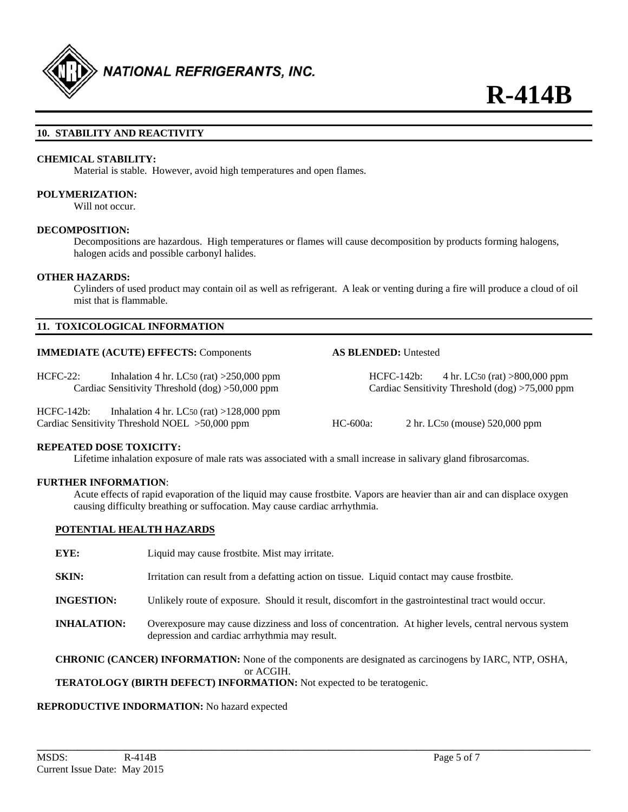

#### **10. STABILITY AND REACTIVITY**

#### **CHEMICAL STABILITY:**

Material is stable. However, avoid high temperatures and open flames.

#### **POLYMERIZATION:**

Will not occur.

#### **DECOMPOSITION:**

Decompositions are hazardous. High temperatures or flames will cause decomposition by products forming halogens, halogen acids and possible carbonyl halides.

#### **OTHER HAZARDS:**

Cylinders of used product may contain oil as well as refrigerant. A leak or venting during a fire will produce a cloud of oil mist that is flammable.

#### **11. TOXICOLOGICAL INFORMATION**

#### **IMMEDIATE (ACUTE) EFFECTS:** Components **AS BLENDED:** Untested

HCFC-22: Inhalation 4 hr. LC50 (rat) >250,000 ppm HCFC-142b: 4 hr. LC50 (rat) >800,000 ppm

HCFC-142b: Inhalation 4 hr. LC50 (rat) >128,000 ppm Cardiac Sensitivity Threshold NOEL >50,000 ppm HC-600a: 2 hr. LC50 (mouse) 520,000 ppm

Cardiac Sensitivity Threshold (dog) >50,000 ppm Cardiac Sensitivity Threshold (dog) >75,000 ppm

#### **REPEATED DOSE TOXICITY:**

Lifetime inhalation exposure of male rats was associated with a small increase in salivary gland fibrosarcomas.

#### **FURTHER INFORMATION**:

Acute effects of rapid evaporation of the liquid may cause frostbite. Vapors are heavier than air and can displace oxygen causing difficulty breathing or suffocation. May cause cardiac arrhythmia.

#### **POTENTIAL HEALTH HAZARDS**

**EYE:** Liquid may cause frostbite. Mist may irritate.

- **SKIN:** Irritation can result from a defatting action on tissue. Liquid contact may cause frostbite.
- **INGESTION:** Unlikely route of exposure. Should it result, discomfort in the gastrointestinal tract would occur.
- **INHALATION:** Overexposure may cause dizziness and loss of concentration. At higher levels, central nervous system depression and cardiac arrhythmia may result.

**CHRONIC (CANCER) INFORMATION:** None of the components are designated as carcinogens by IARC, NTP, OSHA, or ACGIH.

#### **TERATOLOGY (BIRTH DEFECT) INFORMATION:** Not expected to be teratogenic.

### **REPRODUCTIVE INDORMATION:** No hazard expected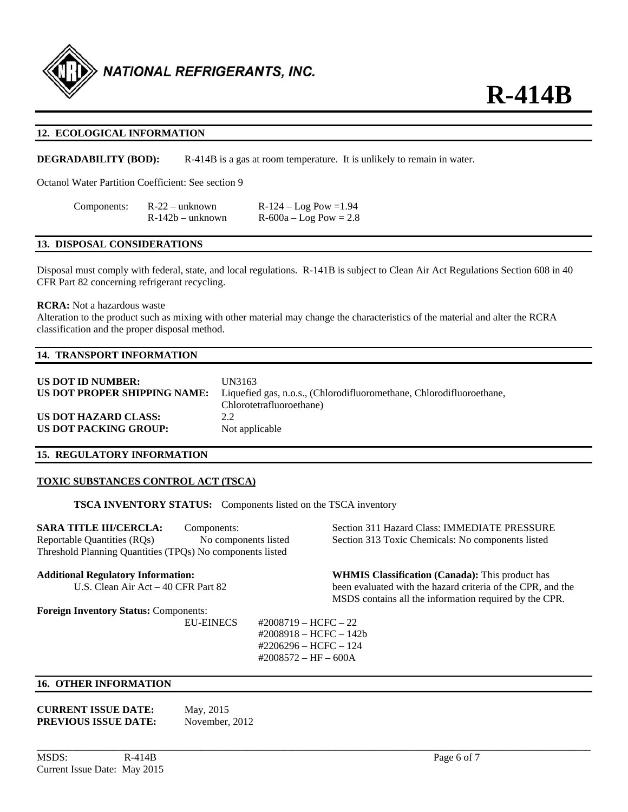

#### **12. ECOLOGICAL INFORMATION**

**DEGRADABILITY (BOD):** R-414B is a gas at room temperature. It is unlikely to remain in water.

Octanol Water Partition Coefficient: See section 9

| Components: | $R-22$ – unknown   | $R-124 - Log Pow = 1.94$   |
|-------------|--------------------|----------------------------|
|             | $R-142b$ – unknown | $R - 600a - Log Pow = 2.8$ |

#### **13. DISPOSAL CONSIDERATIONS**

Disposal must comply with federal, state, and local regulations. R-141B is subject to Clean Air Act Regulations Section 608 in 40 CFR Part 82 concerning refrigerant recycling.

#### **RCRA:** Not a hazardous waste

Alteration to the product such as mixing with other material may change the characteristics of the material and alter the RCRA classification and the proper disposal method.

### **14. TRANSPORT INFORMATION**

| US DOT ID NUMBER:            | UN3163                                                               |
|------------------------------|----------------------------------------------------------------------|
| US DOT PROPER SHIPPING NAME: | Liquefied gas, n.o.s., (Chlorodifluoromethane, Chlorodifluoroethane, |
|                              | Chlorotetrafluoroethane)                                             |
| US DOT HAZARD CLASS:         | 2.2                                                                  |
| US DOT PACKING GROUP:        | Not applicable                                                       |

#### **15. REGULATORY INFORMATION**

#### **TOXIC SUBSTANCES CONTROL ACT (TSCA)**

**TSCA INVENTORY STATUS:** Components listed on the TSCA inventory

**SARA TITLE III/CERCLA:** Components: Section 311 Hazard Class: IMMEDIATE PRESSURE Reportable Quantities (RQs) No components listed Section 313 Toxic Chemicals: No components listed Threshold Planning Quantities (TPQs) No components listed

**Foreign Inventory Status:** Components:

**Additional Regulatory Information: WHMIS Classification (Canada):** This product has U.S. Clean Air Act – 40 CFR Part 82 been evaluated with the hazard criteria of the CPR, and the MSDS contains all the information required by the CPR.

> EU-EINECS #2008719 – HCFC – 22 #2008918 – HCFC – 142b #2206296 – HCFC – 124 #2008572 – HF – 600A

**\_\_\_\_\_\_\_\_\_\_\_\_\_\_\_\_\_\_\_\_\_\_\_\_\_\_\_\_\_\_\_\_\_\_\_\_\_\_\_\_\_\_\_\_\_\_\_\_\_\_\_\_\_\_\_\_\_\_\_\_\_\_\_\_\_\_\_\_\_\_\_\_\_\_\_\_\_\_\_\_\_\_\_\_\_\_\_\_\_\_\_\_\_\_\_\_\_\_\_\_\_\_\_\_\_\_\_\_** 

#### **16. OTHER INFORMATION**

#### **CURRENT ISSUE DATE:** May, 2015 **PREVIOUS ISSUE DATE:** November, 2012